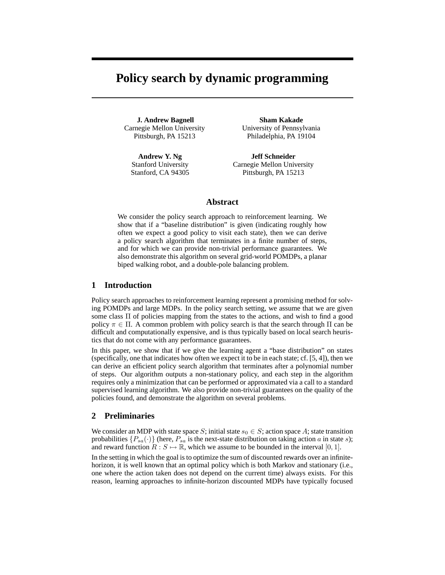# **Policy search by dynamic programming**

**J. Andrew Bagnell** Carnegie Mellon University Pittsburgh, PA 15213

**Andrew Y. Ng** Stanford University Stanford, CA 94305

**Sham Kakade** University of Pennsylvania Philadelphia, PA 19104

**Jeff Schneider** Carnegie Mellon University Pittsburgh, PA 15213

## **Abstract**

We consider the policy search approach to reinforcement learning. We show that if a "baseline distribution" is given (indicating roughly how often we expect a good policy to visit each state), then we can derive a policy search algorithm that terminates in a finite number of steps, and for which we can provide non-trivial performance guarantees. We also demonstrate this algorithm on several grid-world POMDPs, a planar biped walking robot, and a double-pole balancing problem.

# **1 Introduction**

Policy search approaches to reinforcement learning represent a promising method for solving POMDPs and large MDPs. In the policy search setting, we assume that we are given some class  $\Pi$  of policies mapping from the states to the actions, and wish to find a good policy  $\pi \in \Pi$ . A common problem with policy search is that the search through  $\Pi$  can be difficult and computationally expensive, and is thus typically based on local search heuristics that do not come with any performance guarantees.

In this paper, we show that if we give the learning agent a "base distribution" on states (specifically, one that indicates how often we expect it to be in each state; cf. [5, 4]), then we can derive an efficient policy search algorithm that terminates after a polynomial number of steps. Our algorithm outputs a non-stationary policy, and each step in the algorithm requires only a minimization that can be performed or approximated via a call to a standard supervised learning algorithm. We also provide non-trivial guarantees on the quality of the policies found, and demonstrate the algorithm on several problems.

## **2 Preliminaries**

We consider an MDP with state space S; initial state  $s_0 \in S$ ; action space A; state transition probabilities  $\{P_{sa}(\cdot)\}\$  (here,  $P_{sa}$  is the next-state distribution on taking action a in state s); and reward function  $R : S \mapsto \mathbb{R}$ , which we assume to be bounded in the interval [0, 1]. In the setting in which the goal is to optimize the sum of discounted rewards over an infinitehorizon, it is well known that an optimal policy which is both Markov and stationary (i.e.,

one where the action taken does not depend on the current time) always exists. For this reason, learning approaches to infinite-horizon discounted MDPs have typically focused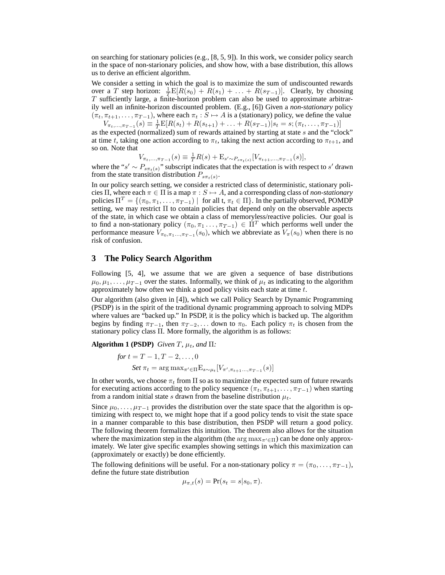on searching for stationary policies (e.g.,  $[8, 5, 9]$ ). In this work, we consider policy search in the space of non-starionary policies, and show how, with a base distribution, this allows us to derive an efficient algorithm.

We consider a setting in which the goal is to maximize the sum of undiscounted rewards over a T step horizon:  $\frac{1}{T}E[R(s_0) + R(s_1) + \ldots + R(s_{T-1})]$ . Clearly, by choosing  $T$  sufficiently large, a finite-horizon problem can also be used to approximate arbitrarily well an infinite-horizon discounted problem. (E.g., [6]) Given a *non-stationary* policy  $(\pi_t, \pi_{t+1}, \ldots, \pi_{T-1})$ , where each  $\pi_t : S \mapsto A$  is a (stationary) policy, we define the value  $V_{\pi_t,\dots,\pi_{T-1}}(s) \equiv \frac{1}{T} \mathbb{E}[R(s_t) + R(s_{t+1}) + \dots + R(s_{T-1}) | s_t = s; (\pi_t,\dots,\pi_{T-1})]$ 

as the expected (normalized) sum of rewards attained by starting at state s and the "clock" at time t, taking one action according to  $\pi_t$ , taking the next action according to  $\pi_{t+1}$ , and so on. Note that

$$
V_{\pi_t,\ldots,\pi_{T-1}}(s) \equiv \frac{1}{T}R(s) + \mathcal{E}_{s' \sim P_{s\pi_t(s)}}[V_{\pi_{t+1},\ldots,\pi_{T-1}}(s)],
$$

where the " $s' \sim P_{s\pi_t(s)}$ " subscript indicates that the expectation is with respect to s' drawn from the state transition distribution  $P_{s\pi_t(s)}$ .

In our policy search setting, we consider a restricted class of deterministic, stationary policies Π, where each  $\pi \in \Pi$  is a map  $\pi : S \mapsto A$ , and a corresponding class of *non-stationary* policies  $\Pi^T = \{(\pi_0, \pi_1, \dots, \pi_{T-1}) \mid \text{ for all } t, \pi_t \in \Pi\}$ . In the partially observed, POMDP setting, we may restrict Π to contain policies that depend only on the observable aspects of the state, in which case we obtain a class of memoryless/reactive policies. Our goal is to find a non-stationary policy  $(\pi_0, \pi_1, \ldots, \pi_{T-1}) \in \Pi^T$  which performs well under the performance measure  $V_{\pi_0, \pi_1, \dots, \pi_{T-1}}(s_0)$ , which we abbreviate as  $V_{\pi}(s_0)$  when there is no risk of confusion.

## **3 The Policy Search Algorithm**

Following [5, 4], we assume that we are given a sequence of base distributions  $\mu_0, \mu_1, \ldots, \mu_{T-1}$  over the states. Informally, we think of  $\mu_t$  as indicating to the algorithm approximately how often we think a good policy visits each state at time  $t$ .

Our algorithm (also given in [4]), which we call Policy Search by Dynamic Programming (PSDP) is in the spirit of the traditional dynamic programming approach to solving MDPs where values are "backed up." In PSDP, it is the policy which is backed up. The algorithm begins by finding  $\pi_{T-1}$ , then  $\pi_{T-2}$ ,... down to  $\pi_0$ . Each policy  $\pi_t$  is chosen from the stationary policy class Π. More formally, the algorithm is as follows:

**Algorithm 1 (PSDP)** *Given*  $T$ *,*  $\mu_t$ *<i>, and*  $\Pi$ *:* 

$$
for t = T - 1, T - 2, ..., 0
$$
  
Set  $\pi_t = \arg \max_{\pi' \in \Pi} E_{s \sim \mu_t} [V_{\pi', \pi_{t+1} \dots, \pi_{T-1}}(s)]$ 

In other words, we choose  $\pi_t$  from  $\Pi$  so as to maximize the expected sum of future rewards for executing actions according to the policy sequence  $(\pi_t, \pi_{t+1}, \ldots, \pi_{T-1})$  when starting from a random initial state s drawn from the baseline distribution  $\mu_t$ .

Since  $\mu_0, \ldots, \mu_{T-1}$  provides the distribution over the state space that the algorithm is optimizing with respect to, we might hope that if a good policy tends to visit the state space in a manner comparable to this base distribution, then PSDP will return a good policy. The following theorem formalizes this intuition. The theorem also allows for the situation where the maximization step in the algorithm (the  $\arg \max_{\pi' \in \Pi}$ ) can be done only approximately. We later give specific examples showing settings in which this maximization can (approximately or exactly) be done efficiently.

The following definitions will be useful. For a non-stationary policy  $\pi = (\pi_0, \dots, \pi_{T-1}),$ define the future state distribution

$$
\mu_{\pi,t}(s) = \Pr(s_t = s|s_0, \pi).
$$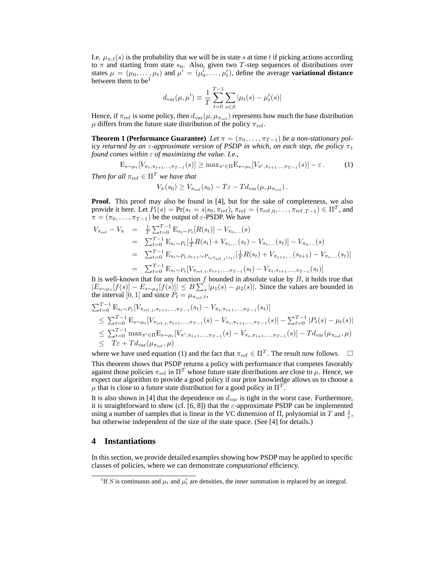I.e.  $\mu_{\pi,t}(s)$  is the probability that we will be in state s at time t if picking actions according to  $\pi$  and starting from state  $s_0$ . Also, given two T-step sequences of distributions over states  $\mu = (\mu_0, \ldots, \mu_t)$  and  $\mu' = (\mu'_0, \ldots, \mu'_t)$ , define the average **variational distance** between them to be<sup>1</sup>

$$
d_{\text{var}}(\mu, \mu') \equiv \frac{1}{T} \sum_{t=0}^{T-1} \sum_{s \in S} |\mu_t(s) - \mu'_t(s)|
$$

Hence, if  $\pi_{ref}$  is some policy, then  $d_{var}(\mu, \mu_{\pi_{ref}})$  represents how much the base distribution  $\mu$  differs from the future state distribution of the policy  $\pi_{\text{ref}}$ .

**Theorem 1 (Performance Guarantee)** *Let*  $\pi = (\pi_0, \ldots, \pi_{T-1})$  *be a non-stationary policy returned by an*  $\varepsilon$ -approximate version of PSDP in which, on each step, the policy  $\pi_t$ *found comes within* ε *of maximizing the value. I.e.,*

 $\mathbb{E}_{s \sim \mu_t} [V_{\pi_t, \pi_{t+1} \dots, \pi_{T-1}}(s)] \ge \max_{\pi' \in \Pi} \mathbb{E}_{s \sim \mu_t} [V_{\pi', \pi_{t+1} \dots, \pi_{T-1}}(s)] - \varepsilon.$  (1) *Then for all*  $\pi_{\text{ref}} \in \Pi^T$  *we have that* 

$$
V_{\pi}(s_0) \geq V_{\pi_{\text{ref}}}(s_0) - T\varepsilon - T d_{\text{var}}(\mu, \mu_{\pi_{\text{ref}}}).
$$

Proof. This proof may also be found in [4], but for the sake of completeness, we also provide it here. Let  $P_t(s) = Pr(s_t = s | s_0, \pi_{ref})$ ,  $\pi_{ref} = (\pi_{ref,0}, \dots, \pi_{ref, T-1}) \in \Pi^T$ , and  $\pi = (\pi_0, \ldots, \pi_{T-1})$  be the output of  $\varepsilon$ -PSDP. We have

$$
V_{\pi_{\text{ref}}} - V_{\pi} = \frac{1}{T} \sum_{t=0}^{T-1} \mathbf{E}_{s_t \sim P_t} [R(s_t)] - V_{\pi_0, \dots}(s)
$$
  
\n
$$
= \sum_{t=0}^{T-1} \mathbf{E}_{s_t \sim P_t} [\frac{1}{T} R(s_t) + V_{\pi_t, \dots}(s_t) - V_{\pi_t, \dots}(s_t)] - V_{\pi_0, \dots}(s)
$$
  
\n
$$
= \sum_{t=0}^{T-1} \mathbf{E}_{s_t \sim P_t, s_{t+1} \sim P_{s_t \pi_{\text{ref}}(s_t)} [\frac{1}{T} R(s_t) + V_{\pi_{t+1}, \dots}(s_{t+1}) - V_{\pi_t, \dots}(s_t)]
$$
  
\n
$$
= \sum_{t=0}^{T-1} \mathbf{E}_{s_t \sim P_t} [V_{\pi_{\text{ref}}(s_t, \pi_{t+1}, \dots, \pi_{T-1}}(s_t) - V_{\pi_t, \pi_{t+1}, \dots, \pi_{T-1}}(s_t)]
$$

It is well-known that for any function  $f$  bounded in absolute value by  $B$ , it holds true that  $|E_{s\sim \mu_1}[f(s)] - E_{s\sim \mu_2}[f(s)]| \leq B \sum_s |\mu_1(s) - \mu_2(s)|$ . Since the values are bounded in the interval [0, 1] and since  $P_t = \mu_{\pi_{ref},t}$ ,

$$
\sum_{t=0}^{T-1} \mathbf{E}_{s_t \sim P_t} [V_{\pi_{\text{ref},t},\pi_{t+1},\dots,\pi_{T-1}}(s_t) - V_{\pi_t, \pi_{t+1},\dots,\pi_{T-1}}(s_t)]
$$
\n
$$
\leq \sum_{t=0}^{T-1} \mathbf{E}_{s \sim \mu_t} [V_{\pi_{\text{ref},t},\pi_{t+1},\dots,\pi_{T-1}}(s) - V_{\pi_t, \pi_{t+1},\dots,\pi_{T-1}}(s)] - \sum_{t=0}^{T-1} |P_t(s) - \mu_t(s)|
$$
\n
$$
\leq \sum_{t=0}^{T-1} \max_{\pi' \in \Pi} \mathbf{E}_{s \sim \mu_t} [V_{\pi', \pi_{t+1},\dots,\pi_{T-1}}(s) - V_{\pi_t, \pi_{t+1},\dots,\pi_{T-1}}(s)] - T d_{\text{var}}(\mu_{\pi_{\text{ref}},\mu})
$$
\n
$$
\leq T\varepsilon + T d_{\text{var}}(\mu_{\pi_{\text{ref}},\mu})
$$

where we have used equation (1) and the fact that  $\pi_{ref} \in \Pi^T$ . The result now follows.  $\Box$ This theorem shows that PSDP returns a policy with performance that competes favorably against those policies  $\pi_{\text{ref}}$  in  $\Pi^T$  whose future state distributions are close to  $\mu$ . Hence, we expect our algorithm to provide a good policy if our prior knowledge allows us to choose a  $\mu$  that is close to a future state distribution for a good policy in  $\Pi^T$ .

It is also shown in [4] that the dependence on  $d_{var}$  is tight in the worst case. Furthermore, it is straightforward to show (cf. [6, 8]) that the  $\varepsilon$ -approximate PSDP can be implemented using a number of samples that is linear in the VC dimension of  $\Pi$ , polynomial in T and  $\frac{1}{\varepsilon}$ , but otherwise independent of the size of the state space. (See [4] for details.)

## **4 Instantiations**

In this section, we provide detailed examples showing how PSDP may be applied to specific classes of policies, where we can demonstrate *computational* efficiency.

<sup>&</sup>lt;sup>1</sup>If S is continuous and  $\mu_t$  and  $\mu'_t$  are densities, the inner summation is replaced by an integral.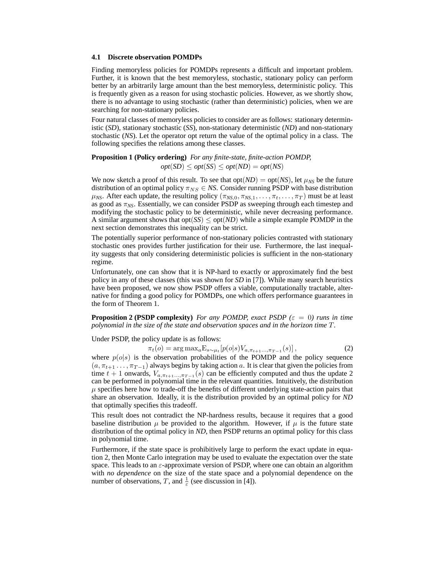#### **4.1 Discrete observation POMDPs**

Finding memoryless policies for POMDPs represents a difficult and important problem. Further, it is known that the best memoryless, stochastic, stationary policy can perform better by an arbitrarily large amount than the best memoryless, deterministic policy. This is frequently given as a reason for using stochastic policies. However, as we shortly show, there is no advantage to using stochastic (rather than deterministic) policies, when we are searching for non-stationary policies.

Four natural classes of memoryless policies to consider are as follows: stationary deterministic (*SD*), stationary stochastic (*SS*), non-stationary deterministic (*ND*) and non-stationary stochastic (*NS*). Let the operator opt return the value of the optimal policy in a class. The following specifies the relations among these classes.

**Proposition 1 (Policy ordering)** *For any finite-state, finite-action POMDP,*  $opt(SD) \le opt(SS) \le opt(ND) = opt(NS)$ 

We now sketch a proof of this result. To see that  $opt(ND) = opt(NS)$ , let  $\mu_{NS}$  be the future distribution of an optimal policy  $\pi_{NS} \in NS$ . Consider running PSDP with base distribution  $\mu_{NS}$ . After each update, the resulting policy  $(\pi_{NS,0}, \pi_{NS,1}, \dots, \pi_t, \dots, \pi_T)$  must be at least as good as π*NS*. Essentially, we can consider PSDP as sweeping through each timestep and modifying the stochastic policy to be deterministic, while never decreasing performance. A similar argument shows that  $opt(SS) \leq opt(ND)$  while a simple example POMDP in the next section demonstrates this inequality can be strict.

The potentially superior performance of non-stationary policies contrasted with stationary stochastic ones provides further justification for their use. Furthermore, the last inequality suggests that only considering deterministic policies is sufficient in the non-stationary regime.

Unfortunately, one can show that it is NP-hard to exactly or approximately find the best policy in any of these classes (this was shown for *SD* in [7]). While many search heuristics have been proposed, we now show PSDP offers a viable, computationally tractable, alternative for finding a good policy for POMDPs, one which offers performance guarantees in the form of Theorem 1.

**Proposition 2 (PSDP complexity)** *For any POMDP, exact PSDP* ( $\varepsilon = 0$ ) *runs in time polynomial in the size of the state and observation spaces and in the horizon time* T*.*

Under PSDP, the policy update is as follows:

$$
\pi_t(o) = \arg \max_a \mathcal{E}_{s \sim \mu_t}[p(o|s) V_{a, \pi_{t+1} \dots, \pi_{T-1}}(s)], \tag{2}
$$

where  $p(o|s)$  is the observation probabilities of the POMDP and the policy sequence  $(a, \pi_{t+1}, \ldots, \pi_{T-1})$  always begins by taking action a. It is clear that given the policies from time  $t + 1$  onwards,  $V_{a, \pi_{t+1} \dots, \pi_{T-1}}(s)$  can be efficiently computed and thus the update 2 can be performed in polynomial time in the relevant quantities. Intuitively, the distribution  $\mu$  specifies here how to trade-off the benefits of different underlying state-action pairs that share an observation. Ideally, it is the distribution provided by an optimal policy for *ND* that optimally specifies this tradeoff.

This result does not contradict the NP-hardness results, because it requires that a good baseline distribution  $\mu$  be provided to the algorithm. However, if  $\mu$  is the future state distribution of the optimal policy in *ND*, then PSDP returns an optimal policy for this class in polynomial time.

Furthermore, if the state space is prohibitively large to perform the exact update in equation 2, then Monte Carlo integration may be used to evaluate the expectation over the state space. This leads to an  $\varepsilon$ -approximate version of PSDP, where one can obtain an algorithm with *no dependence* on the size of the state space and a polynomial dependence on the number of observations, T, and  $\frac{1}{\varepsilon}$  (see discussion in [4]).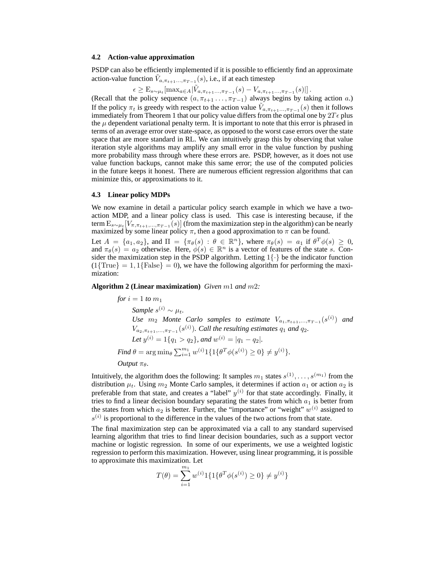#### **4.2 Action-value approximation**

PSDP can also be efficiently implemented if it is possible to efficiently find an approximate action-value function  $\tilde{V}_{a,\pi_{t+1}...,\pi_{T-1}}(s)$ , i.e., if at each timestep

 $\epsilon \geq E_{s \sim \mu_t}[\max_{a \in A} |\tilde{V}_{a, \pi_{t+1} \dots, \pi_{T-1}}(s) - V_{a, \pi_{t+1} \dots, \pi_{T-1}}(s)|].$ 

(Recall that the policy sequence  $(a, \pi_{t+1} \ldots, \pi_{T-1})$  always begins by taking action a.) If the policy  $\pi_t$  is greedy with respect to the action value  $\tilde{V}_{a,\pi_{t+1}...,\pi_{T-1}}(s)$  then it follows immediately from Theorem 1 that our policy value differs from the optimal one by  $2T\epsilon$  plus the  $\mu$  dependent variational penalty term. It is important to note that this error is phrased in terms of an average error over state-space, as opposed to the worst case errors over the state space that are more standard in RL. We can intuitively grasp this by observing that value iteration style algorithms may amplify any small error in the value function by pushing more probability mass through where these errors are. PSDP, however, as it does not use value function backups, cannot make this same error; the use of the computed policies in the future keeps it honest. There are numerous efficient regression algorithms that can minimize this, or approximations to it.

## **4.3 Linear policy MDPs**

We now examine in detail a particular policy search example in which we have a twoaction MDP, and a linear policy class is used. This case is interesting because, if the term  $\mathrm{E}_{s\sim\mu_t}[V_{\pi,\pi_{t+1},...,\pi_{T-1}}(s)]$  (from the maximization step in the algorithm) can be nearly maximized by some linear policy  $\pi$ , then a good approximation to  $\pi$  can be found.

Let  $A = \{a_1, a_2\}$ , and  $\Pi = \{\pi_\theta(s) : \theta \in \mathbb{R}^n\}$ , where  $\pi_\theta(s) = a_1$  if  $\theta^T \phi(s) \geq 0$ , and  $\pi_{\theta}(s) = a_2$  otherwise. Here,  $\phi(s) \in \mathbb{R}^n$  is a vector of features of the state s. Consider the maximization step in the PSDP algorithm. Letting  $1\{\cdot\}$  be the indicator function  $(1\{\text{True}\} = 1, 1\{\text{False}\} = 0)$ , we have the following algorithm for performing the maximization:

**Algorithm 2 (Linear maximization)** *Given* m1 *and* m2*:*

*for*  $i = 1$  *to*  $m_1$  $Sample \ s^{(i)} \sim \mu_t.$ *Use*  $m_2$  *Monte* Carlo samples to estimate  $V_{a_1, \pi_{t+1}, \dots, \pi_{T-1}}(s^{(i)})$  and  $V_{a_2, \pi_{t+1}, \dots, \pi_{T-1}}(s^{(i)})$ . Call the resulting estimates  $q_1$  and  $q_2$ . *Let*  $y^{(i)} = 1\{q_1 > q_2\}$ , and  $w^{(i)} = |q_1 - q_2|$ . *Find*  $\theta = \arg \min_{\theta} \sum_{i=1}^{m_1} w^{(i)} 1 \{ 1 \{ \theta^T \phi(s^{(i)}) \ge 0 \} \neq y^{(i)} \}.$ *Output*  $\pi_{\theta}$ *.* 

Intuitively, the algorithm does the following: It samples  $m_1$  states  $s^{(1)}, \ldots, s^{(m_1)}$  from the distribution  $\mu_t$ . Using  $m_2$  Monte Carlo samples, it determines if action  $a_1$  or action  $a_2$  is preferable from that state, and creates a "label"  $y^{(i)}$  for that state accordingly. Finally, it tries to find a linear decision boundary separating the states from which  $a_1$  is better from the states from which  $a_2$  is better. Further, the "importance" or "weight"  $w^{(i)}$  assigned to  $s^{(i)}$  is proportional to the difference in the values of the two actions from that state.

The final maximization step can be approximated via a call to any standard supervised learning algorithm that tries to find linear decision boundaries, such as a support vector machine or logistic regression. In some of our experiments, we use a weighted logistic regression to perform this maximization. However, using linear programming, it is possible to approximate this maximization. Let

$$
T(\theta) = \sum_{i=1}^{m_1} w^{(i)} 1 \{ 1 \{ \theta^T \phi(s^{(i)}) \ge 0 \} \neq y^{(i)} \}
$$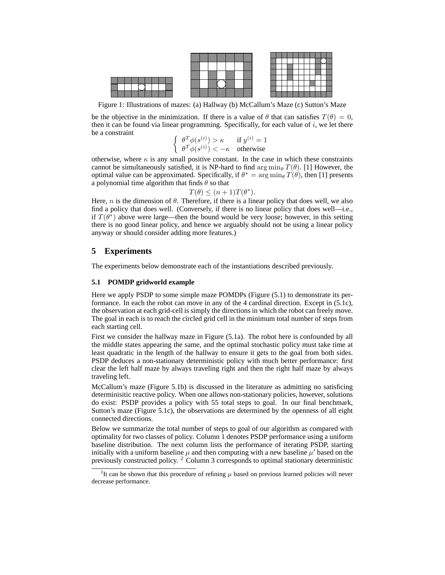

Figure 1: Illustrations of mazes: (a) Hallway (b) McCallum's Maze (c) Sutton's Maze

be the objective in the minimization. If there is a value of  $\theta$  that can satisfies  $T(\theta) = 0$ , then it can be found via linear programming. Specifically, for each value of  $i$ , we let there be a constraint

$$
\begin{cases} \theta^T \phi(s^{(i)}) > \kappa & \text{if } y^{(i)} = 1\\ \theta^T \phi(s^{(i)}) < -\kappa & \text{otherwise} \end{cases}
$$

otherwise, where  $\kappa$  is any small positive constant. In the case in which these constraints cannot be simultaneously satisfied, it is NP-hard to find  $\arg \min_{\theta} T(\theta)$ . [1] However, the optimal value can be approximated. Specifically, if  $\theta^* = \arg \min_{\theta} T(\theta)$ , then [1] presents a polynomial time algorithm that finds  $\theta$  so that

$$
T(\theta) \le (n+1)T(\theta^*).
$$

Here, n is the dimension of  $\theta$ . Therefore, if there is a linear policy that does well, we also find a policy that does well. (Conversely, if there is no linear policy that does well—i.e., if  $T(\theta^*)$  above were large—then the bound would be very loose; however, in this setting there is no good linear policy, and hence we arguably should not be using a linear policy anyway or should consider adding more features.)

# **5 Experiments**

The experiments below demonstrate each of the instantiations described previously.

## **5.1 POMDP gridworld example**

Here we apply PSDP to some simple maze POMDPs (Figure (5.1) to demonstrate its performance. In each the robot can move in any of the 4 cardinal direction. Except in (5.1c), the observation at each grid-cell is simply the directions in which the robot can freely move. The goal in each is to reach the circled grid cell in the minimum total number of steps from each starting cell.

First we consider the hallway maze in Figure (5.1a). The robot here is confounded by all the middle states appearing the same, and the optimal stochastic policy must take time at least quadratic in the length of the hallway to ensure it gets to the goal from both sides. PSDP deduces a non-stationary deterministic policy with much better performance: first clear the left half maze by always traveling right and then the right half maze by always traveling left.

McCallum's maze (Figure 5.1b) is discussed in the literature as admitting no satisficing determinisitic reactive policy. When one allows non-stationary policies, however, solutions do exist: PSDP provides a policy with 55 total steps to goal. In our final benchmark, Sutton's maze (Figure 5.1c), the observations are determined by the openness of all eight connected directions.

Below we summarize the total number of steps to goal of our algorithm as compared with optimality for two classes of policy. Column 1 denotes PSDP performance using a uniform baseline distribution. The next column lists the performance of iterating PSDP, starting initially with a uniform baseline  $\mu$  and then computing with a new baseline  $\mu'$  based on the previously constructed policy. <sup>2</sup> Column 3 corresponds to optimal stationary deterministic

<sup>&</sup>lt;sup>2</sup>It can be shown that this procedure of refining  $\mu$  based on previous learned policies will never decrease performance.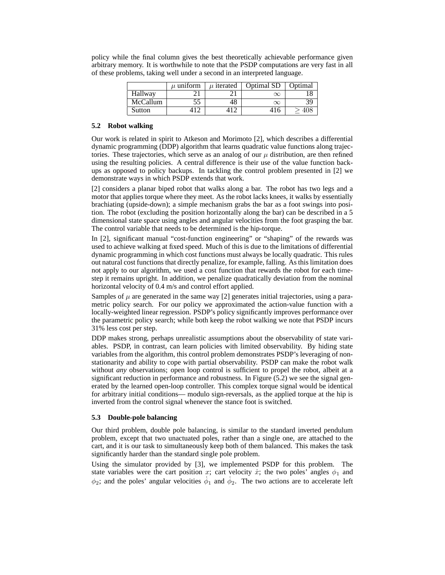|          | $\mu$ uniform | $\mu$ iterated | Optimal SD | Optimal |
|----------|---------------|----------------|------------|---------|
| Hallway  |               |                |            |         |
| McCallum |               | 48             | $\infty$   |         |
| Sutton   |               | 1 ^            |            |         |

policy while the final column gives the best theoretically achievable performance given arbitrary memory. It is worthwhile to note that the PSDP computations are very fast in all of these problems, taking well under a second in an interpreted language.

## **5.2 Robot walking**

Our work is related in spirit to Atkeson and Morimoto [2], which describes a differential dynamic programming (DDP) algorithm that learns quadratic value functions along trajectories. These trajectories, which serve as an analog of our  $\mu$  distribution, are then refined using the resulting policies. A central difference is their use of the value function backups as opposed to policy backups. In tackling the control problem presented in [2] we demonstrate ways in which PSDP extends that work.

[2] considers a planar biped robot that walks along a bar. The robot has two legs and a motor that applies torque where they meet. As the robot lacks knees, it walks by essentially brachiating (upside-down); a simple mechanism grabs the bar as a foot swings into position. The robot (excluding the position horizontally along the bar) can be described in a 5 dimensional state space using angles and angular velocities from the foot grasping the bar. The control variable that needs to be determined is the hip-torque.

In [2], significant manual "cost-function engineering" or "shaping" of the rewards was used to achieve walking at fixed speed. Much of this is due to the limitations of differential dynamic programming in which cost functions must always be locally quadratic. This rules out natural cost functions that directly penalize, for example, falling. As this limitation does not apply to our algorithm, we used a cost function that rewards the robot for each timestep it remains upright. In addition, we penalize quadratically deviation from the nominal horizontal velocity of 0.4 m/s and control effort applied.

Samples of  $\mu$  are generated in the same way [2] generates initial trajectories, using a parametric policy search. For our policy we approximated the action-value function with a locally-weighted linear regression. PSDP's policy significantly improves performance over the parametric policy search; while both keep the robot walking we note that PSDP incurs 31% less cost per step.

DDP makes strong, perhaps unrealistic assumptions about the observability of state variables. PSDP, in contrast, can learn policies with limited observability. By hiding state variables from the algorithm, this control problem demonstrates PSDP's leveraging of nonstationarity and ability to cope with partial observability. PSDP can make the robot walk without *any* observations; open loop control is sufficient to propel the robot, albeit at a significant reduction in performance and robustness. In Figure (5.2) we see the signal generated by the learned open-loop controller. This complex torque signal would be identical for arbitrary initial conditions— modulo sign-reversals, as the applied torque at the hip is inverted from the control signal whenever the stance foot is switched.

#### **5.3 Double-pole balancing**

Our third problem, double pole balancing, is similar to the standard inverted pendulum problem, except that two unactuated poles, rather than a single one, are attached to the cart, and it is our task to simultaneously keep both of them balanced. This makes the task significantly harder than the standard single pole problem.

Using the simulator provided by [3], we implemented PSDP for this problem. The state variables were the cart position x; cart velocity  $\dot{x}$ ; the two poles' angles  $\phi_1$  and  $\phi_2$ ; and the poles' angular velocities  $\dot{\phi}_1$  and  $\dot{\phi}_2$ . The two actions are to accelerate left